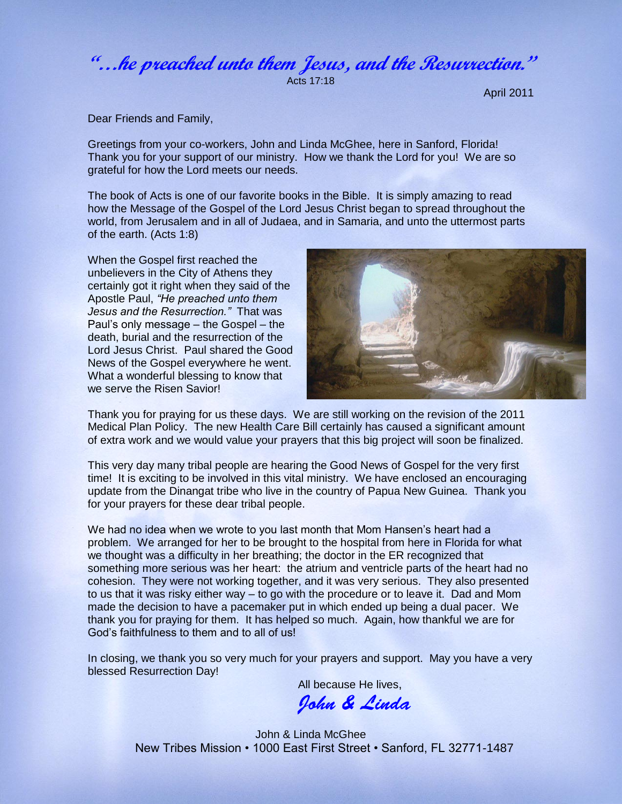**"…he preached unto them Jesus, and the Resurrection."**

Acts 17:18

April 2011

Dear Friends and Family,

Greetings from your co-workers, John and Linda McGhee, here in Sanford, Florida! Thank you for your support of our ministry. How we thank the Lord for you! We are so grateful for how the Lord meets our needs.

The book of Acts is one of our favorite books in the Bible. It is simply amazing to read how the Message of the Gospel of the Lord Jesus Christ began to spread throughout the world, from Jerusalem and in all of Judaea, and in Samaria, and unto the uttermost parts of the earth. (Acts 1:8)

When the Gospel first reached the unbelievers in the City of Athens they certainly got it right when they said of the Apostle Paul, *"He preached unto them Jesus and the Resurrection."* That was Paul's only message – the Gospel – the death, burial and the resurrection of the Lord Jesus Christ. Paul shared the Good News of the Gospel everywhere he went. What a wonderful blessing to know that we serve the Risen Savior!



Thank you for praying for us these days. We are still working on the revision of the 2011 Medical Plan Policy. The new Health Care Bill certainly has caused a significant amount of extra work and we would value your prayers that this big project will soon be finalized.

This very day many tribal people are hearing the Good News of Gospel for the very first time! It is exciting to be involved in this vital ministry. We have enclosed an encouraging update from the Dinangat tribe who live in the country of Papua New Guinea. Thank you for your prayers for these dear tribal people.

We had no idea when we wrote to you last month that Mom Hansen's heart had a problem. We arranged for her to be brought to the hospital from here in Florida for what we thought was a difficulty in her breathing; the doctor in the ER recognized that something more serious was her heart: the atrium and ventricle parts of the heart had no cohesion. They were not working together, and it was very serious. They also presented to us that it was risky either way – to go with the procedure or to leave it. Dad and Mom made the decision to have a pacemaker put in which ended up being a dual pacer. We thank you for praying for them. It has helped so much. Again, how thankful we are for God's faithfulness to them and to all of us!

In closing, we thank you so very much for your prayers and support. May you have a very blessed Resurrection Day!

All because He lives,

John & Linda

John & Linda McGhee New Tribes Mission • 1000 East First Street • Sanford, FL 32771-1487